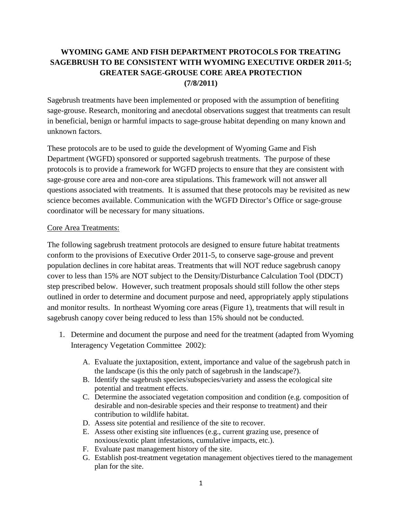## **WYOMING GAME AND FISH DEPARTMENT PROTOCOLS FOR TREATING SAGEBRUSH TO BE CONSISTENT WITH WYOMING EXECUTIVE ORDER 2011-5; GREATER SAGE-GROUSE CORE AREA PROTECTION (7/8/2011)**

Sagebrush treatments have been implemented or proposed with the assumption of benefiting sage-grouse. Research, monitoring and anecdotal observations suggest that treatments can result in beneficial, benign or harmful impacts to sage-grouse habitat depending on many known and unknown factors.

These protocols are to be used to guide the development of Wyoming Game and Fish Department (WGFD) sponsored or supported sagebrush treatments. The purpose of these protocols is to provide a framework for WGFD projects to ensure that they are consistent with sage-grouse core area and non-core area stipulations. This framework will not answer all questions associated with treatments. It is assumed that these protocols may be revisited as new science becomes available. Communication with the WGFD Director's Office or sage-grouse coordinator will be necessary for many situations.

## Core Area Treatments:

The following sagebrush treatment protocols are designed to ensure future habitat treatments conform to the provisions of Executive Order 2011-5, to conserve sage-grouse and prevent population declines in core habitat areas. Treatments that will NOT reduce sagebrush canopy cover to less than 15% are NOT subject to the Density/Disturbance Calculation Tool (DDCT) step prescribed below. However, such treatment proposals should still follow the other steps outlined in order to determine and document purpose and need, appropriately apply stipulations and monitor results. In northeast Wyoming core areas (Figure 1), treatments that will result in sagebrush canopy cover being reduced to less than 15% should not be conducted.

- 1. Determine and document the purpose and need for the treatment (adapted from Wyoming Interagency Vegetation Committee 2002):
	- A. Evaluate the juxtaposition, extent, importance and value of the sagebrush patch in the landscape (is this the only patch of sagebrush in the landscape?).
	- B. Identify the sagebrush species/subspecies/variety and assess the ecological site potential and treatment effects.
	- C. Determine the associated vegetation composition and condition (e.g. composition of desirable and non-desirable species and their response to treatment) and their contribution to wildlife habitat.
	- D. Assess site potential and resilience of the site to recover.
	- E. Assess other existing site influences (e.g., current grazing use, presence of noxious/exotic plant infestations, cumulative impacts, etc.).
	- F. Evaluate past management history of the site.
	- G. Establish post-treatment vegetation management objectives tiered to the management plan for the site.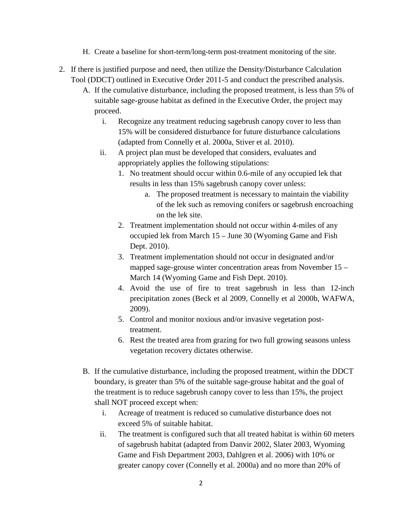- H. Create a baseline for short-term/long-term post-treatment monitoring of the site.
- 2. If there is justified purpose and need, then utilize the Density/Disturbance Calculation Tool (DDCT) outlined in Executive Order 2011-5 and conduct the prescribed analysis.
	- A. If the cumulative disturbance, including the proposed treatment, is less than 5% of suitable sage-grouse habitat as defined in the Executive Order, the project may proceed.
		- i. Recognize any treatment reducing sagebrush canopy cover to less than 15% will be considered disturbance for future disturbance calculations (adapted from Connelly et al. 2000a, Stiver et al. 2010).
		- ii. A project plan must be developed that considers, evaluates and appropriately applies the following stipulations:
			- 1. No treatment should occur within 0.6-mile of any occupied lek that results in less than 15% sagebrush canopy cover unless:
				- a. The proposed treatment is necessary to maintain the viability of the lek such as removing conifers or sagebrush encroaching on the lek site.
			- 2. Treatment implementation should not occur within 4-miles of any occupied lek from March 15 – June 30 (Wyoming Game and Fish Dept. 2010).
			- 3. Treatment implementation should not occur in designated and/or mapped sage-grouse winter concentration areas from November 15 – March 14 (Wyoming Game and Fish Dept. 2010).
			- 4. Avoid the use of fire to treat sagebrush in less than 12-inch precipitation zones (Beck et al 2009, Connelly et al 2000b, WAFWA, 2009).
			- 5. Control and monitor noxious and/or invasive vegetation posttreatment.
			- 6. Rest the treated area from grazing for two full growing seasons unless vegetation recovery dictates otherwise.
	- B. If the cumulative disturbance, including the proposed treatment, within the DDCT boundary, is greater than 5% of the suitable sage-grouse habitat and the goal of the treatment is to reduce sagebrush canopy cover to less than 15%, the project shall NOT proceed except when:
		- i. Acreage of treatment is reduced so cumulative disturbance does not exceed 5% of suitable habitat.
		- ii. The treatment is configured such that all treated habitat is within 60 meters of sagebrush habitat (adapted from Danvir 2002, Slater 2003, Wyoming Game and Fish Department 2003, Dahlgren et al. 2006) with 10% or greater canopy cover (Connelly et al. 2000a) and no more than 20% of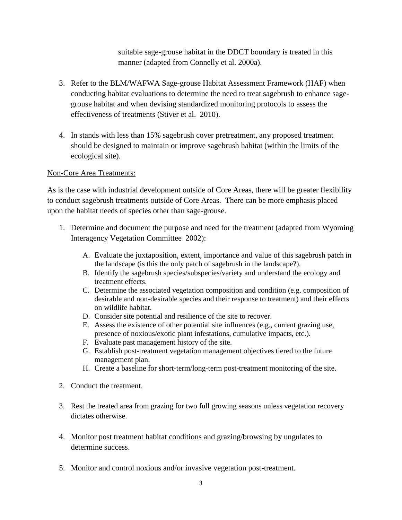suitable sage-grouse habitat in the DDCT boundary is treated in this manner (adapted from Connelly et al. 2000a).

- 3. Refer to the BLM/WAFWA Sage-grouse Habitat Assessment Framework (HAF) when conducting habitat evaluations to determine the need to treat sagebrush to enhance sagegrouse habitat and when devising standardized monitoring protocols to assess the effectiveness of treatments (Stiver et al. 2010).
- 4. In stands with less than 15% sagebrush cover pretreatment, any proposed treatment should be designed to maintain or improve sagebrush habitat (within the limits of the ecological site).

## Non-Core Area Treatments:

As is the case with industrial development outside of Core Areas, there will be greater flexibility to conduct sagebrush treatments outside of Core Areas. There can be more emphasis placed upon the habitat needs of species other than sage-grouse.

- 1. Determine and document the purpose and need for the treatment (adapted from Wyoming Interagency Vegetation Committee 2002):
	- A. Evaluate the juxtaposition, extent, importance and value of this sagebrush patch in the landscape (is this the only patch of sagebrush in the landscape?).
	- B. Identify the sagebrush species/subspecies/variety and understand the ecology and treatment effects.
	- C. Determine the associated vegetation composition and condition (e.g. composition of desirable and non-desirable species and their response to treatment) and their effects on wildlife habitat.
	- D. Consider site potential and resilience of the site to recover.
	- E. Assess the existence of other potential site influences (e.g., current grazing use, presence of noxious/exotic plant infestations, cumulative impacts, etc.).
	- F. Evaluate past management history of the site.
	- G. Establish post-treatment vegetation management objectives tiered to the future management plan.
	- H. Create a baseline for short-term/long-term post-treatment monitoring of the site.
- 2. Conduct the treatment.
- 3. Rest the treated area from grazing for two full growing seasons unless vegetation recovery dictates otherwise.
- 4. Monitor post treatment habitat conditions and grazing/browsing by ungulates to determine success.
- 5. Monitor and control noxious and/or invasive vegetation post-treatment.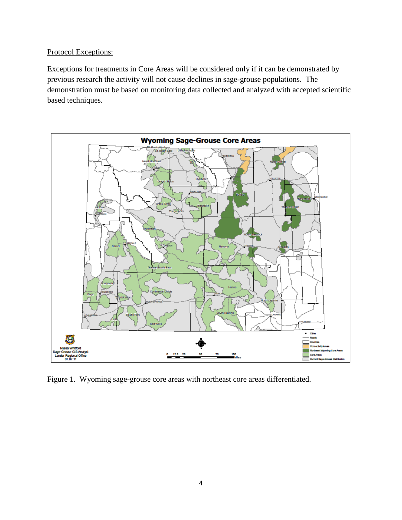## Protocol Exceptions:

Exceptions for treatments in Core Areas will be considered only if it can be demonstrated by previous research the activity will not cause declines in sage-grouse populations. The demonstration must be based on monitoring data collected and analyzed with accepted scientific based techniques.



Figure 1. Wyoming sage-grouse core areas with northeast core areas differentiated.